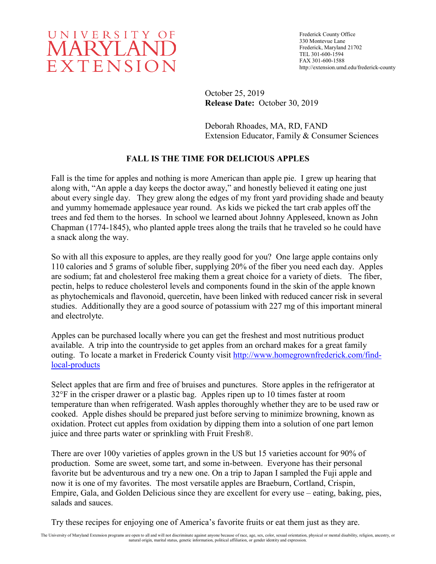

Frederick County Office 330 Montevue Lane Frederick, Maryland 21702 TEL 301-600-1594 FAX 301-600-1588 http://extension.umd.edu/frederick-county

October 25, 2019 **Release Date:** October 30, 2019

Deborah Rhoades, MA, RD, FAND Extension Educator, Family & Consumer Sciences

## **FALL IS THE TIME FOR DELICIOUS APPLES**

Fall is the time for apples and nothing is more American than apple pie. I grew up hearing that along with, "An apple a day keeps the doctor away," and honestly believed it eating one just about every single day. They grew along the edges of my front yard providing shade and beauty and yummy homemade applesauce year round. As kids we picked the tart crab apples off the trees and fed them to the horses. In school we learned about Johnny Appleseed, known as John Chapman (1774-1845), who planted apple trees along the trails that he traveled so he could have a snack along the way.

So with all this exposure to apples, are they really good for you? One large apple contains only 110 calories and 5 grams of soluble fiber, supplying 20% of the fiber you need each day. Apples are sodium; fat and cholesterol free making them a great choice for a variety of diets. The fiber, pectin, helps to reduce cholesterol levels and components found in the skin of the apple known as phytochemicals and flavonoid, quercetin, have been linked with reduced cancer risk in several studies. Additionally they are a good source of potassium with 227 mg of this important mineral and electrolyte.

Apples can be purchased locally where you can get the freshest and most nutritious product available. A trip into the countryside to get apples from an orchard makes for a great family outing. To locate a market in Frederick County visit [http://www.homegrownfrederick.com/find](http://www.homegrownfrederick.com/find-local-products)[local-products](http://www.homegrownfrederick.com/find-local-products)

Select apples that are firm and free of bruises and punctures. Store apples in the refrigerator at 32°F in the crisper drawer or a plastic bag. Apples ripen up to 10 times faster at room temperature than when refrigerated. Wash apples thoroughly whether they are to be used raw or cooked. Apple dishes should be prepared just before serving to minimize browning, known as oxidation. Protect cut apples from oxidation by dipping them into a solution of one part lemon juice and three parts water or sprinkling with Fruit Fresh®.

There are over 100y varieties of apples grown in the US but 15 varieties account for 90% of production. Some are sweet, some tart, and some in-between. Everyone has their personal favorite but be adventurous and try a new one. On a trip to Japan I sampled the Fuji apple and now it is one of my favorites. The most versatile apples are Braeburn, Cortland, Crispin, Empire, Gala, and Golden Delicious since they are excellent for every use – eating, baking, pies, salads and sauces.

Try these recipes for enjoying one of America's favorite fruits or eat them just as they are.